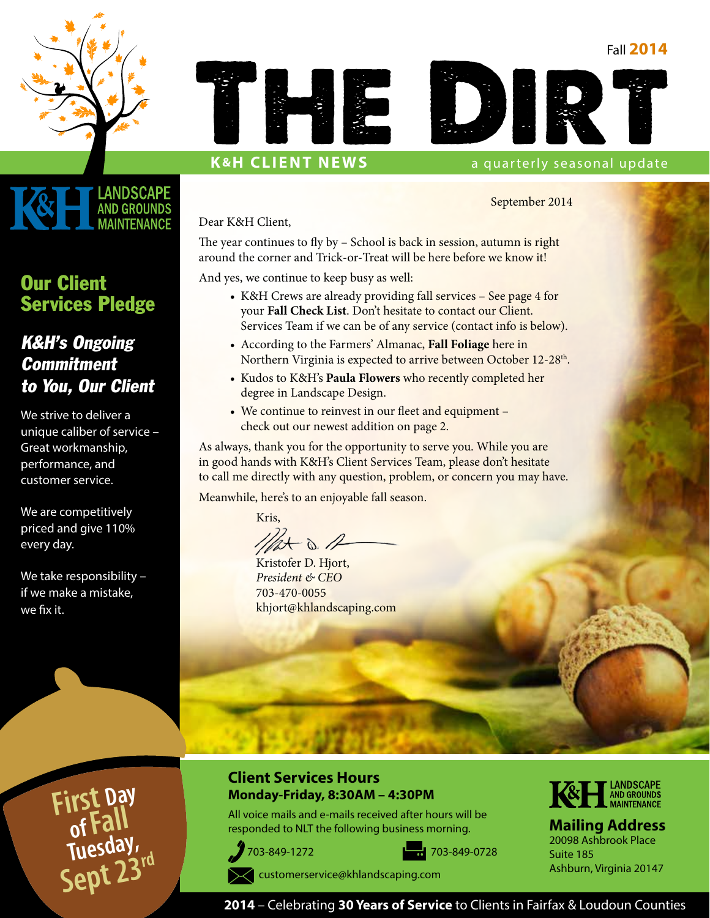#### Fall **2014**





#### **K&H CLIENT NEWS** a quarterly seasonal update

September 2014

Dear K&H Client,

The year continues to fly by – School is back in session, autumn is right around the corner and Trick-or-Treat will be here before we know it!

And yes, we continue to keep busy as well:

- K&H Crews are already providing fall services See page 4 for your **Fall Check List**. Don't hesitate to contact our Client. Services Team if we can be of any service (contact info is below).
- According to the Farmers' Almanac, **Fall Foliage** here in Northern Virginia is expected to arrive between October 12-28<sup>th</sup>.
- Kudos to K&H's **Paula Flowers** who recently completed her degree in Landscape Design.
- We continue to reinvest in our fleet and equipment check out our newest addition on page 2.

As always, thank you for the opportunity to serve you. While you are in good hands with K&H's Client Services Team, please don't hesitate to call me directly with any question, problem, or concern you may have.

Meanwhile, here's to an enjoyable fall season.

Kris,

 $-\infty$ .

Kristofer D. Hjort, *President & CEO* 703-470-0055 khjort@khlandscaping.com

### Our Client Services Pledge

**.ANDSCAPE AND GROUNDS MAINTFNANCF** 

### K&H's Ongoing **Commitment** to You, Our Client

We strive to deliver a unique caliber of service – Great workmanship, performance, and customer service.

We are competitively priced and give 110% every day.

We take responsibility if we make a mistake, we fix it.

> **First Day of Fall Tuesday, Sept 23rd**

#### **Client Services Hours Monday-Friday, 8:30AM – 4:30PM**

All voice mails and e-mails received after hours will be responded to NLT the following business morning.







**Mailing Address** 20098 Ashbrook Place Suite 185 Ashburn, Virginia 20147

 [customerservice@khlandscaping.com](mailto:customerservice@khlandscaping.com)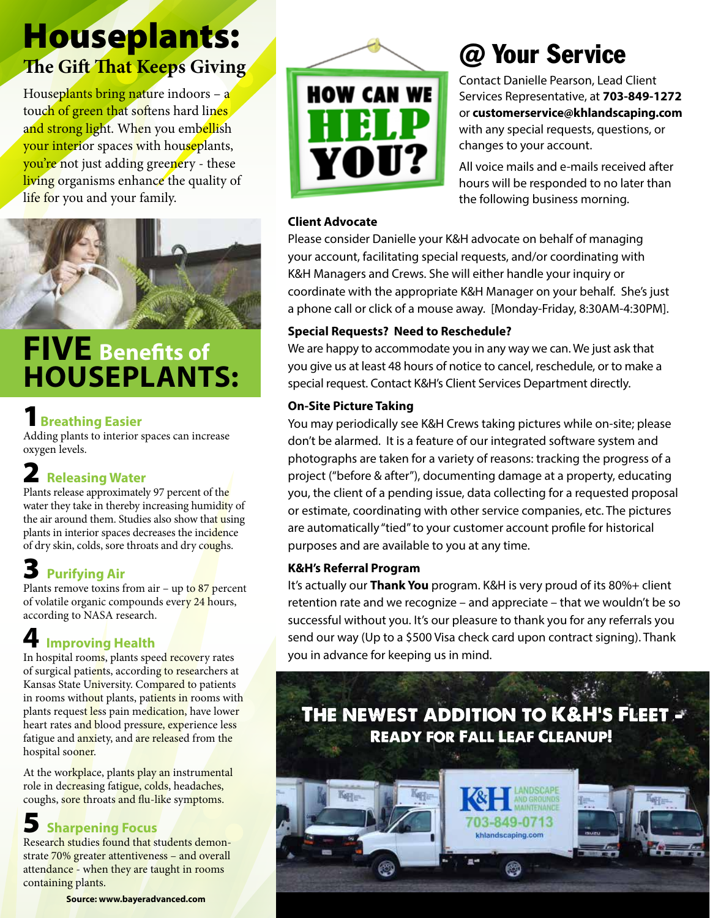## Houseplants: **The Gift That Keeps Giving**

Houseplants bring nature indoors - a touch of green that softens hard lines and strong light. When you embellish your interior spaces with houseplants, you're not just adding greenery - these living organisms enhance the quality of life for you and your family.



## **FIVE Benefits of HOUSEPLANTS:**

### **Breathing Easier**

Adding plants to interior spaces can increase oxygen levels.

## 2 **Releasing Water**

Plants release approximately 97 percent of the water they take in thereby increasing humidity of the air around them. Studies also show that using plants in interior spaces decreases the incidence of dry skin, colds, sore throats and dry coughs.

## 3 **Purifying Air**

Plants remove toxins from air – up to  $87$  percent of volatile organic compounds every 24 hours, according to NASA research.

## **4 Improving Health**

In hospital rooms, plants speed recovery rates of surgical patients, according to researchers at Kansas State University. Compared to patients in rooms without plants, patients in rooms with plants reques<mark>t le</mark>ss pain medication, have lower heart rates and blood pressure, experience less fatigue and anxiety, and are released from the hospital sooner.

At the workplace, plants play an instrumental role in decreasing fatigue, colds, headaches, coughs, sore throats and flu-like symptoms.

### 5 **Sharpening Focus**

Research studies found that students demonstrate 70% greater attentiveness – and overall attendance - when they are taught in rooms containing plants.

**Source: www.bayeradvanced.com**



# @ Your Service

Contact Danielle Pearson, Lead Client Services Representative, at **703-849-1272**  or **customerservice@khlandscaping.com** with any special requests, questions, or changes to your account.

All voice mails and e-mails received after hours will be responded to no later than the following business morning.

#### **Client Advocate**

Please consider Danielle your K&H advocate on behalf of managing your account, facilitating special requests, and/or coordinating with K&H Managers and Crews. She will either handle your inquiry or coordinate with the appropriate K&H Manager on your behalf. She's just a phone call or click of a mouse away. [Monday-Friday, 8:30AM-4:30PM].

#### **Special Requests? Need to Reschedule?**

We are happy to accommodate you in any way we can. We just ask that you give us at least 48 hours of notice to cancel, reschedule, or to make a special request. Contact K&H's Client Services Department directly.

#### **On-Site Picture Taking**

You may periodically see K&H Crews taking pictures while on-site; please don't be alarmed. It is a feature of our integrated software system and photographs are taken for a variety of reasons: tracking the progress of a project ("before & after"), documenting damage at a property, educating you, the client of a pending issue, data collecting for a requested proposal or estimate, coordinating with other service companies, etc. The pictures are automatically "tied" to your customer account profile for historical purposes and are available to you at any time.

#### **K&H's Referral Program**

It's actually our **Thank You** program. K&H is very proud of its 80%+ client retention rate and we recognize – and appreciate – that we wouldn't be so successful without you. It's our pleasure to thank you for any referrals you send our way (Up to a \$500 Visa check card upon contract signing). Thank you in advance for keeping us in mind.

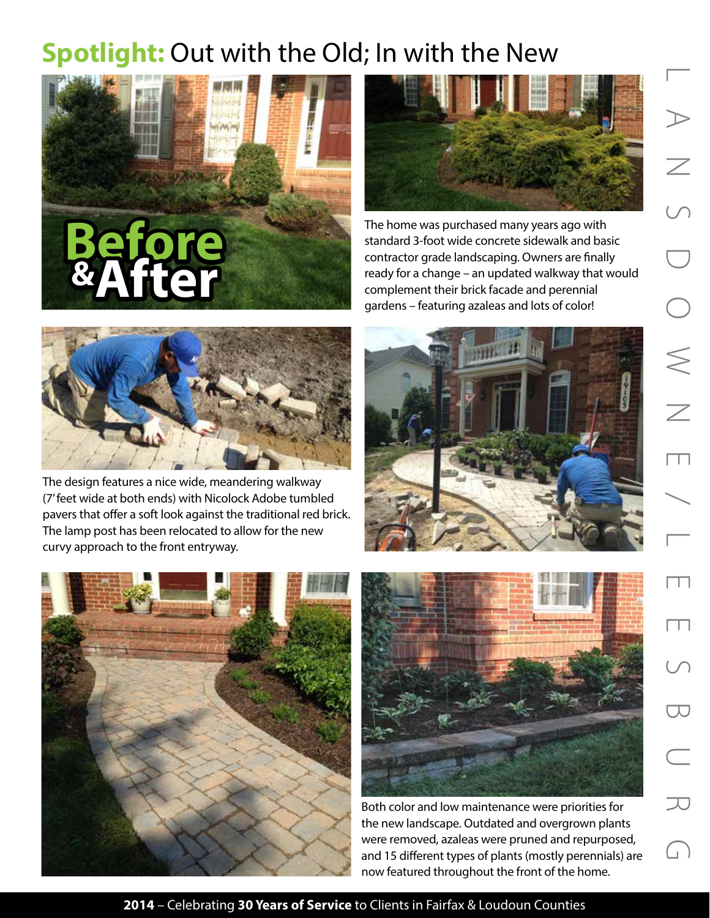## **Spotlight:** Out with the Old; In with the New





The home was purchased many years ago with standard 3-foot wide concrete sidewalk and basic contractor grade landscaping. Owners are finally ready for a change – an updated walkway that would complement their brick facade and perennial gardens – featuring azaleas and lots of color!



The design features a nice wide, meandering walkway (7' feet wide at both ends) with Nicolock Adobe tumbled pavers that offer a soft look against the traditional red brick. The lamp post has been relocated to allow for the new curvy approach to the front entryway.







Both color and low maintenance were priorities for the new landscape. Outdated and overgrown plants were removed, azaleas were pruned and repurposed, and 15 different types of plants (mostly perennials) are now featured throughout the front of the home.